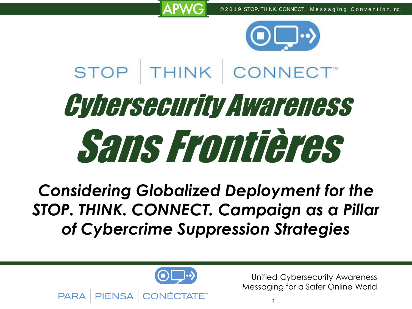

# STOP THINK CONNECT Cybersecurity Awareness Sans Frontières

*Considering Globalized Deployment for the STOP. THINK. CONNECT. Campaign as a Pillar of Cybercrime Suppression Strategies*

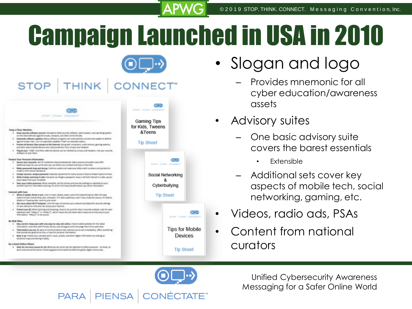# Campaign Launched in USA in 2010



**COM** 

⊛⊐⊣

Devices

**Tip Sheet** 

#### **STOP** ONNECT" **THINK GOD** stor THIM COMMOT actions company company of **Gaming Tips** for Kids, Tweens **Rose is Clean Machine** &Teens . Best relative inflame dermek das by the letter persons adhered and interest and constitute substitution are the last side new against sincers, makers, and other artific throws. Automate siffeories spilistes Marty collection programs and sustainability connect and update to serving adversed because make. There was appropriated conductor Printer's are appointed contacts. **Tip Sheet** Protect all dealers than potent to the interest doing with current to must planned getting suburb. and other axis analysis thousand and head are relatively from a looking and includes Right saw. "USA" and other external decision can be infected by chosen and material. The year propries es-k-kur-field **Industry Rent Personal Information** 4 Below and assures are his probably bound because it introduced provided coa offici STOP THINK CONNECT additional adapter and with arts and are before and probabilizations on that she. Alaba promposals large and classes (Debition capital and leadmond sellers with customer profinements in **CAMP & ROOM ANGLIN CARGAINS** Shippe around, around password: See not possed to the samp assure helps to than his Social Networking With Kaloun analising Kapite (largers) on forget a postalist final a bit flat's dominit a lots, possiplace away floril plus campular Dark goal and be processed. When everyone, said the privacy and structure to things by publisher to goal collectional for information starting. 57s on to hind how and with where you show information Cyberbullying Contract with Corp. When it doubt, threw track criter is a top, hazen, poet, our entra attentions are often the way **Tip Sheet** administrato colonizioni plui sorgazio. El fiscio positivo, per il pui state fini posta. Fi risolito delaws on Programmings, week as look away). 1 Bill cares along the black and company of the face of fundamental and side of the models and the project am your sewes to limit who ran access your muchine. Pointed your SB: When pointing pretoriosing, check to on auto the close is security elected. Link for with addresses with Telega (IT or Telega (IT) which moves the che tales with a magazine for help exactly past.<br>Washington, Telega (IT) is not people. STOP THINK CONNECT **By Wide Wine** 4 State current dealer panel with own wear-to she calls and/or - Thursday pointing the title creation information, and short with friends, functy, cred colleagues and encourage than his to with wise. **Tips for Mobile** This is below you art, in any of contrast labors that making you to art inmarkably, offers what that paints his grains better, or also for private illumentar Back & as if construction valuable work, charts, photos, and other digital information by training or plasmove cars and mong it sales. Be a Good-Selline Chiam. 4 Sales No doe make secure for all letter you do article has the presentation effect everyone - at leasts, at and and antunality asn'd. Pointing good unline full/it lanelfit the good slights community

- Slogan and logo
	- Provides mnemonic for all cyber education/awareness assets
- Advisory suites
	- One basic advisory suite covers the barest essentials
		- Extensible
	- Additional sets cover key aspects of mobile tech, social networking, gaming, etc.
- Videos, radio ads, PSAs
- Content from national curators

Unified Cybersecurity Awareness Messaging for a Safer Online World

**PARA PIENSA > <**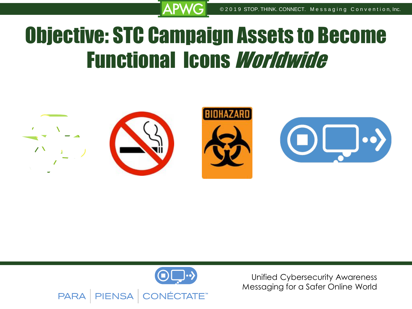## Objective: STC Campaign Assets to Become Functional Icons Worldwide



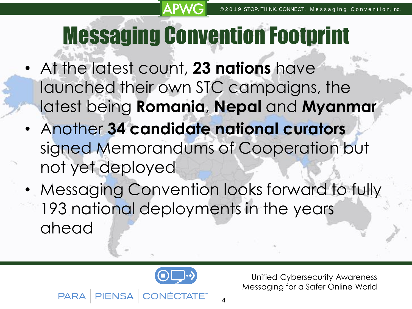# Messaging Convention Footprint

- At the latest count, **23 nations** have launched their own STC campaigns, the latest being **Romania**, **Nepal** and **Myanmar**
- Another **34 candidate national curators**  signed Memorandums of Cooperation but not yet deployed
- Messaging Convention looks forward to fully 193 national deployments in the years ahead



Unified Cybersecurity Awareness Messaging for a Safer Online World

**PARA** 

4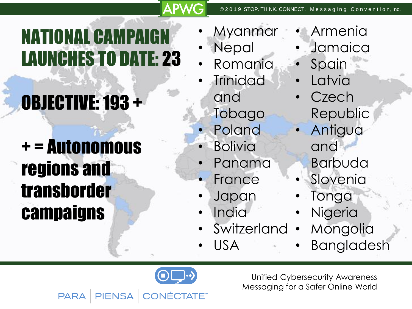## **NATIONAL CAMPAI** LAUNCHES TO DATE: 23

# OBJECTIVE: 193 +

## + = Autonomous regions and transborder campaigns

- **Myanmar**
- **Nepal**
- Romania
- **Trinidad** and
	- Tobago
	- **Poland**
	- **Bolivia**
	- Panama
- France
- Japan
- India
- **Switzerland**
- USA
- Armenia
- **Jamaica**
- **Spain**
- **Latvia**
- **Czech** Republic
- Antigua and Barbuda
- **Slovenia**
- **Tonga**
- **Nigeria** 
	- **Mongolia**
- **Bangladesh**

Unified Cybersecurity Awareness Messaging for a Safer Online World



**CTATE™ PARA PIENSA**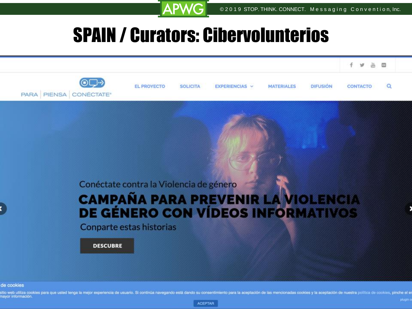### SPAIN / Curators: Cibervolunterios

A DI



de cookies

sitio web utiliza cookies para que usted tenga la mejor experiencia de usuario. Si continúa navegando está dando su consentimiento para la aceptación de las mencionadas cookies y la aceptación de nuestra política de cookie mayor información. **> <**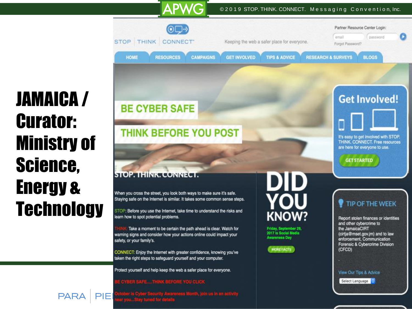#### © 2019 STOP. THINK. CONNECT. Messaging Convention, Inc.



## JAMAICA / Curator: Ministry of Science, Energy & **Technology**

**PAR** 

**BE CYBER SAFE** 

#### **THINK BEFORE YOU POST**

**APWG** 

#### **STOP THINK CONNECT**

When you cross the street, you look both ways to make sure it's safe. Staying safe on the Internet is similar. It takes some common sense steps.

STOP: Before you use the Internet, take time to understand the risks and learn how to spot potential problems.

Take a moment to be certain the path ahead is clear. Watch for warning signs and consider how your actions online could impact your safety, or your family's.

CONNECT: Enjoy the Internet with greater confidence, knowing you've taken the right steps to safeguard yourself and your computer.

Protect yourself and help keep the web a safer place for everyone.

#### E CYBER SAFE....THINK BEFORE YOU CLICK



Friday, September 29,<br>2017 is Social Media **Awareness Day** 



#### **Get Involved!**



THINK. CONNECT. Free resources are here for everyone to use.

**GET STARTED** 

#### **TIP OF THE WEEK**

Report stolen finances or identities and other cybercrime to the JamaicaCIRT (cirtja@mset.gov.jm) and to law enforcement, Communication Forensic & Cybercrime Division (CFCD)

View Our Tips & Advice<br>Select Language

Messaging for a Safer Online World

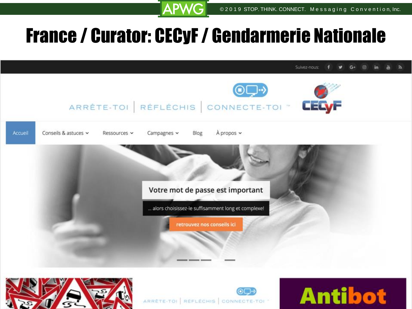Unified Cybersecurity Awareness

### France / Curator: CECyF/ Gendarmerie Nationale

**APWG** 

Suivez-nous





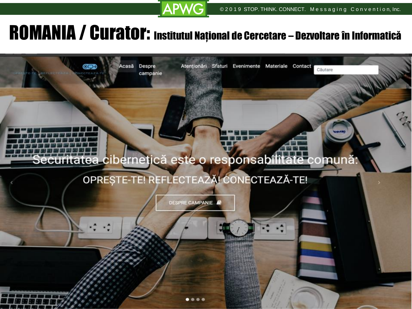### ROMANIA / Curator: Institutul Național de Cercetare – Dezvoltare în Informatică

**APWG** 

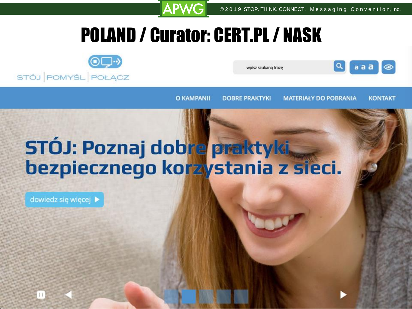### POLAND / Curator: CERT.PL / NASK

**APW** 



wpisz szukana fraze



**O KAMPANII** 

**DOBRE PRAKTYKI** 

**MATERIALY DO POBRANIA** 

Unified Cybersecurity Awareness Messaging for a Safer Online World

**KONTAKT** 

## STÓJ: Poznaj dobre praktyki, bezpiecznego korzystania z sieci.

**> <**

dowiedz się więcej >

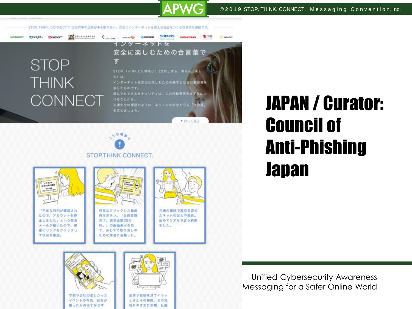STOP THINK. CONNECT/M は世界中の企業が手を取りあい、安全にインターネットを使える社会をつくる世界的な運動です。

### **STOP THINK CONNECT**

**E** KINGSOFT

wespoor

カスペルスキー

PETRESYLERISE



APW

**> <**

記事や投稿を見てイラッ

ときたその簡問、その気

持ちのままに非難、反論

### 一下三部房 STOP.THINK.CONNECT.



学校や会社の楽しかった

イベントの写真、自分が

描ったものはすかさず

## JAPAN / Curator: Council of Anti-Phishing Japan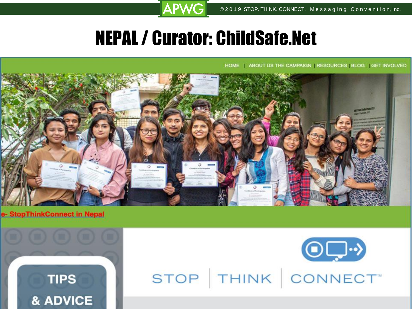### NEPAL / Curator: ChildSafe.Net

**APWG** 

HOME ABOUT US THE CAMPAIGN RESOURCES BLOG GET INVOLVED



#### pThinkConnect in Nepal





**UKI CONNECT** Messaging for a Safer Online World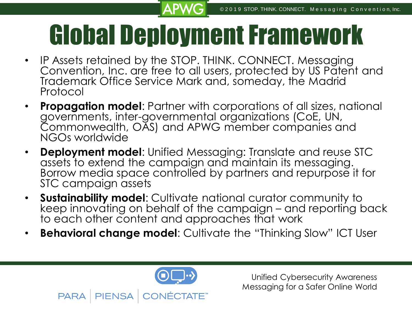# Global Deployment Framework

- IP Assets retained by the STOP. THINK. CONNECT. Messaging Convention, Inc. are free to all users, protected by US Patent and Trademark Office Service Mark and, someday, the Madrid Protocol
- **Propagation model**: Partner with corporations of all sizes, national governments, inter-governmental organizations (CoE, UN, Commonwealth, OAS) and APWG member companies and NGOs worldwide
- **Deployment model**: Unified Messaging: Translate and reuse STC assets to extend the campaign and maintain its messaging. Borrow media space controlled by partners and repurpose it for STC campaign assets
- **Sustainability model**: Cultivate national curator community to keep innovating on behalf of the campaign – and reporting back to each other content and approaches that work
- **Behavioral change model**: Cultivate the "Thinking Slow" ICT User



**PARA** 

**> <**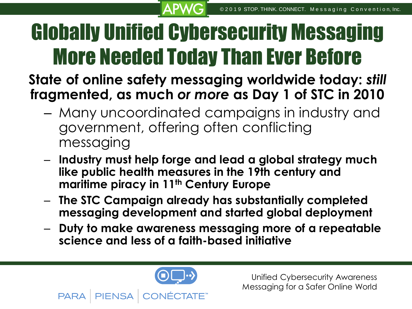# Globally Unified Cybersecurity Messaging More Needed Today Than Ever Before

### **State of online safety messaging worldwide today:** *still* **fragmented, as much** *or more* **as Day 1 of STC in 2010**

- Many uncoordinated campaigns in industry and government, offering often conflicting messaging
- **Industry must help forge and lead a global strategy much like public health measures in the 19th century and maritime piracy in 11th Century Europe**
- **The STC Campaign already has substantially completed messaging development and started global deployment**
- **Duty to make awareness messaging more of a repeatable science and less of a faith-based initiative**



**PARA** 

**> <**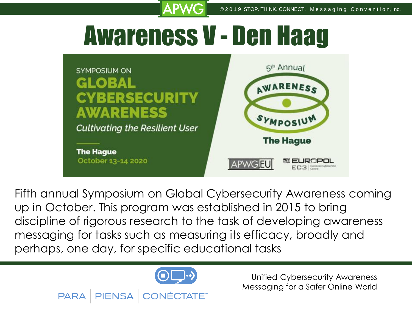# Awareness V - Den Haag



Fifth annual Symposium on Global Cybersecurity Awareness coming up in October. This program was established in 2015 to bring discipline of rigorous research to the task of developing awareness messaging for tasks such as measuring its efficacy, broadly and perhaps, one day, for specific educational tasks



**PARA** 

**PIENSA** 

**> <**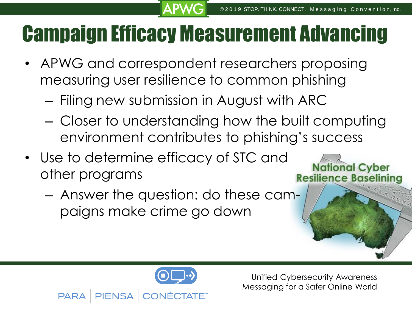## Campaign Efficacy Measurement Advancing

- APWG and correspondent researchers proposing measuring user resilience to common phishing
	- Filing new submission in August with ARC
	- Closer to understanding how the built computing environment contributes to phishing's success
- Use to determine efficacy of STC and other programs
	- Answer the question: do these campaigns make crime go down

**PARA** 

**> <**

Unified Cybersecurity Awareness Messaging for a Safer Online World

**National Cyber** 

**Resilience Baseli**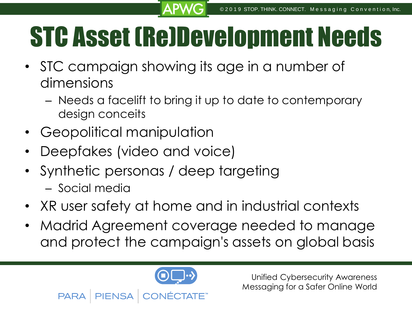# STC Asset (Re)Development Needs

- STC campaign showing its age in a number of dimensions
	- Needs a facelift to bring it up to date to contemporary design conceits
- Geopolitical manipulation

**PARA** 

- Deepfakes (video and voice)
- Synthetic personas / deep targeting – Social media
- XR user safety at home and in industrial contexts
- Madrid Agreement coverage needed to manage and protect the campaign's assets on global basis



**> <**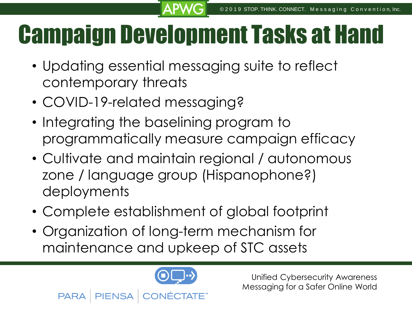# Campaign Development Tasks at Hand

- Updating essential messaging suite to reflect contemporary threats
- COVID-19-related messaging?
- Integrating the baselining program to programmatically measure campaign efficacy
- Cultivate and maintain regional / autonomous zone / language group (Hispanophone?) deployments
- Complete establishment of global footprint
- Organization of long-term mechanism for maintenance and upkeep of STC assets



**PARA** 

**> <**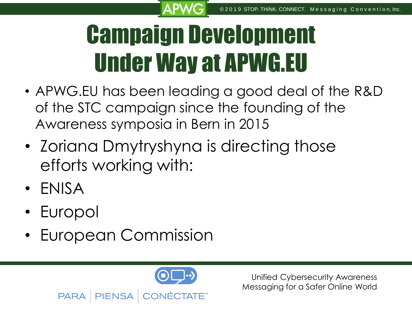# Campaign Development Under Way at APWG.EU

- APWG.EU has been leading a good deal of the R&D of the STC campaign since the founding of the Awareness symposia in Bern in 2015
- Zoriana Dmytryshyna is directing those efforts working with:
- ENISA
- Europol

**PARA** 

• European Commission